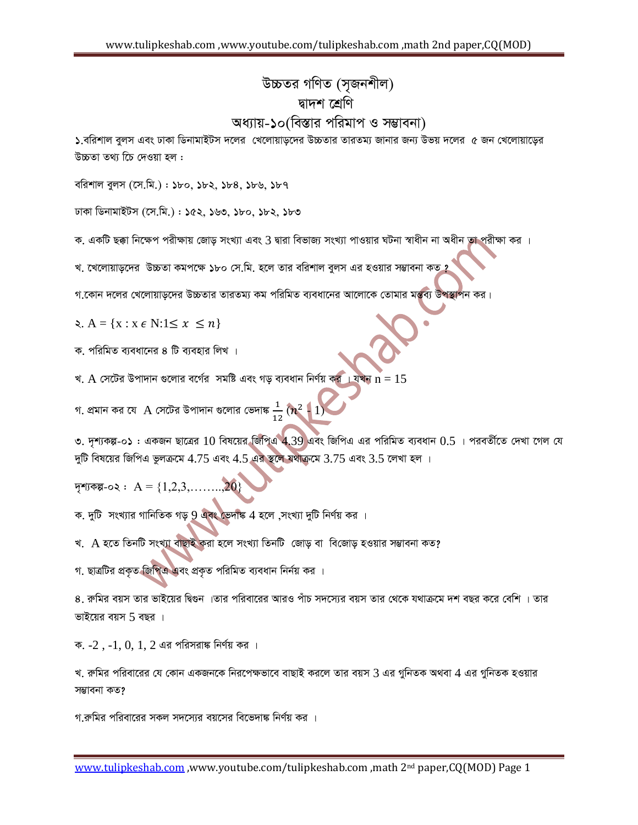## *D"PZi MwYZ (m"Rbkxj)* দ্বাদশ শ্ৰেণি *অধ্যায়-১০(বি*স্তার পরিমাপ ও সম্ভাবনা)

 $\Delta$ , বরিশাল বুলস এবং ঢাকা ডিনামাইটস দলের খেলোয়াড়দের উচ্চতার তারতম্য জানার জন্য উভয় দলের ৫ জন খেলোয়াড়ের *D"PZv Z\_¨ w‡P †`Iqv nj :*

*ewikvj eyjm (‡m.wg.) : 180, 182, 184, 186, 187*

*XvKv wWbvgvBUm (‡m.wg.) : 152, 163, 180, 182, 183*

ক. একটি ছক্কা নিক্ষেপ পরীক্ষায় জোড় সংখ্যা এবং 3 দ্বারা বিভাজ্য সংখ্যা পাওয়ার ঘটনা স্বাধীন না অধীন তা পরীক্ষা কর

খ. খেলোয়াড়দের উচ্চতা কমপক্ষে ১৮০ সে.মি. হলে তার বরিশাল বুলস এর হওয়ার সম্ভাবনা কত ?

গ.কোন দলের খেলোয়াডদের উচ্চতার তারতম্য কম পরিমিত ব্যবধানের আলোকে তোমার মন্তব্য উপস্থাপন কর।

2.  $A = \{x : x \in N: 1 \leq x \leq n\}$ 

ক, পরিমিত ব্যবধানের ৪ টি ব্যবহার লিখ**।** 

খ.  $A$  সেটের উপাদান গুলোর বর্গের সমষ্টি এবং গড় ব্যবধান নির্ণয় কর । যখন  $n=15$ 

গ. প্রমান কর যে  $A$  সেটের উপাদান গুলোর ভেদাঙ্ক  $\frac{1}{12}\left(n^2+1\right)$ 

৩. দৃশ্যকল্প-০১ : একজন ছাত্রের 10 বিষয়ের জিপিএ 4.39 এবং জিপিএ এর পরিমিত ব্যবধান  $0.5\,$ । পরবর্তীতে দেখা গেল যে *`ywU wel‡qi wRwcG fzjµ‡g* 4.75 *Ges* 4.5 *Gi ¯'‡j h\_vµ‡g* 3.75 *Ges* 3.5 *‡jLv nj |*

 $\overline{Y}$ শ্যকল্প-০২ :  $A = \{1, 2, 3, \ldots, 20\}$ 

ক. দুটি সংখ্যার গানিতিক গড় 9 এবং ভেদাঙ্ক 4 হলে ,সংখ্যা দুটি নির্ণয় কর ।

খ. *A হতে তিনটি সংখ্যা বাছাই করা হলে সংখ্যা তিনটি জোড় বা বিজোড় হওয়ার সম্ভাবনা কত?* 

গ. ছাত্রটির প্রকৃত জিপিএ এবং প্রকৃত পরিমিত ব্যবধান নির্নয় কর ।

 $8$ . রুমির বয়স তার ভাইয়ের দ্বিগুন ।তার পরিবারের আরও পাঁচ সদস্যের বয়স তার থেকে যথাক্রমে দশ বছর করে বেশি । তার *fvB‡qi eqm* 5 *eQi |*

ক. -2, -1, 0, 1, 2 এর পরিসরাঙ্ক নির্ণয় কর ।

খ, রুমির পরিবারের যে কোন একজনকে নিরপেক্ষভাবে বাছাই করলে তার বয়স 3 এর গুনিতক অথবা 4 এর গুনিতক হওয়ার সম্ভাবনা কত**?** 

<u>গ রুমির পরিবারের সকল সদস্যের বয়সের বিভেদাঙ্ক নির্ণয় কর ।</u>